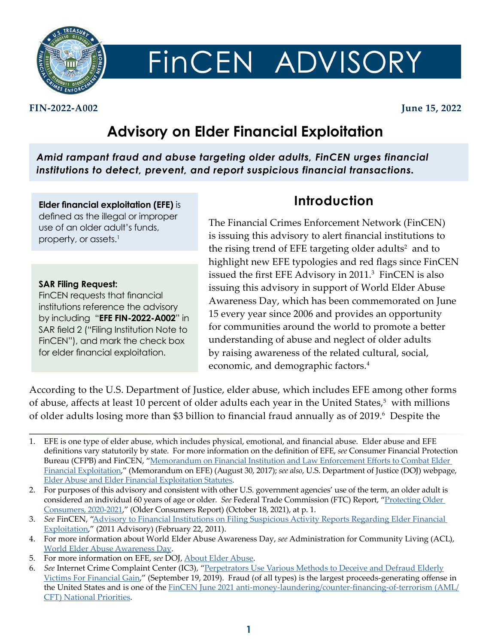

# FINCEN ADVISORY

#### **FIN-2022-A002 June 15, 2022**

## **Advisory on Elder Financial Exploitation**

*Amid rampant fraud and abuse targeting older adults, FinCEN urges financial institutions to detect, prevent, and report suspicious financial transactions.*

**Elder financial exploitation (EFE)** is defined as the illegal or improper use of an older adult's funds, property, or assets.<sup>1</sup>

#### **SAR Filing Request:**

FinCEN requests that financial institutions reference the advisory by including "**EFE FIN-2022-A002**" in SAR field 2 ("Filing Institution Note to FinCEN"), and mark the check box for elder financial exploitation.

## **Introduction**

The Financial Crimes Enforcement Network (FinCEN) is issuing this advisory to alert financial institutions to the rising trend of EFE targeting older adults<sup>2</sup> and to highlight new EFE typologies and red flags since FinCEN issued the first EFE Advisory in 2011.<sup>3</sup> FinCEN is also issuing this advisory in support of World Elder Abuse Awareness Day, which has been commemorated on June 15 every year since 2006 and provides an opportunity for communities around the world to promote a better understanding of abuse and neglect of older adults by raising awareness of the related cultural, social, economic, and demographic factors.<sup>4</sup>

According to the U.S. Department of Justice, elder abuse, which includes EFE among other forms of abuse, affects at least 10 percent of older adults each year in the United States,<sup>5</sup> with millions of older adults losing more than \$3 billion to financial fraud annually as of 2019.<sup>6</sup> Despite the

- 3. *See* FinCEN, ["Advisory to Financial Institutions on Filing Suspicious Activity Reports Regarding Elder Financial](https://www.fincen.gov/sites/default/files/advisory/fin-2011-a003.pdf)  [Exploitation](https://www.fincen.gov/sites/default/files/advisory/fin-2011-a003.pdf)," (2011 Advisory) (February 22, 2011).
- 4. For more information about World Elder Abuse Awareness Day, *see* Administration for Community Living (ACL), [World Elder Abuse Awareness Day.](https://acl.gov/news-and-events/events-and-observances/world-elder-abuse-awareness-day)
- 5. For more information on EFE, *see* DOJ, [About Elder Abuse](https://www.justice.gov/elderjustice/about-elder-abuse).
- 6. *See* Internet Crime Complaint Center (IC3), "[Perpetrators Use Various Methods to Deceive and Defraud Elderly](https://www.ic3.gov/Media/Y2019/PSA190919) [Victims For Financial Gain,](https://www.ic3.gov/Media/Y2019/PSA190919)" (September 19, 2019). Fraud (of all types) is the largest proceeds-generating offense in the United States and is one of the [FinCEN June 2021 anti-money-laundering/counter-financing-of-terrorism \(AML/](https://www.fincen.gov/sites/default/files/shared/AML_CFT%20Priorities%20(June%2030%2C%202021).pdf) [CFT\) National Priorities](https://www.fincen.gov/sites/default/files/shared/AML_CFT%20Priorities%20(June%2030%2C%202021).pdf).

<sup>1.</sup> EFE is one type of elder abuse, which includes physical, emotional, and financial abuse. Elder abuse and EFE definitions vary statutorily by state. For more information on the definition of EFE, *see* Consumer Financial Protection Bureau (CFPB) and FinCEN, "Memorandum on Financial Institution and Law Enforcement Efforts to Combat Elder [Financial Exploitation](https://www.fincen.gov/sites/default/files/2017-08/8-25-2017_FINAL_CFPB%2BTreasury%2BFinCEN%20Joint%20Memo.pdf)," (Memorandum on EFE) (August 30, 2017); *see also*, U.S. Department of Justice (DOJ) webpage, [Elder Abuse and Elder Financial Exploitation Statutes.](https://www.justice.gov/elderjustice/prosecutors/statutes)

<sup>2.</sup> For purposes of this advisory and consistent with other U.S. government agencies' use of the term, an older adult is considered an individual 60 years of age or older. *See* Federal Trade Commission (FTC) Report, ["Protecting Older](https://www.ftc.gov/system/files/documents/reports/protecting-older-consumers-2020-2021-report-federal-trade-commission/protecting-older-consumers-report-508.pdf)  [Consumers, 2020-2021,](https://www.ftc.gov/system/files/documents/reports/protecting-older-consumers-2020-2021-report-federal-trade-commission/protecting-older-consumers-report-508.pdf)" (Older Consumers Report) (October 18, 2021), at p. 1.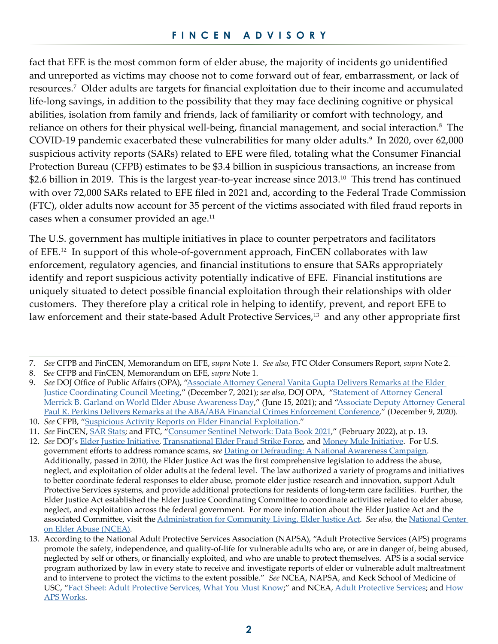fact that EFE is the most common form of elder abuse, the majority of incidents go unidentified and unreported as victims may choose not to come forward out of fear, embarrassment, or lack of resources.7 Older adults are targets for financial exploitation due to their income and accumulated life-long savings, in addition to the possibility that they may face declining cognitive or physical abilities, isolation from family and friends, lack of familiarity or comfort with technology, and reliance on others for their physical well-being, financial management, and social interaction.<sup>8</sup> The COVID-19 pandemic exacerbated these vulnerabilities for many older adults.<sup>9</sup> In 2020, over 62,000 suspicious activity reports (SARs) related to EFE were filed, totaling what the Consumer Financial Protection Bureau (CFPB) estimates to be \$3.4 billion in suspicious transactions, an increase from \$2.6 billion in 2019. This is the largest year-to-year increase since 2013.<sup>10</sup> This trend has continued with over 72,000 SARs related to EFE filed in 2021 and, according to the Federal Trade Commission (FTC), older adults now account for 35 percent of the victims associated with filed fraud reports in cases when a consumer provided an age.<sup>11</sup>

The U.S. government has multiple initiatives in place to counter perpetrators and facilitators of EFE.12 In support of this whole-of-government approach, FinCEN collaborates with law enforcement, regulatory agencies, and financial institutions to ensure that SARs appropriately identify and report suspicious activity potentially indicative of EFE. Financial institutions are uniquely situated to detect possible financial exploitation through their relationships with older customers. They therefore play a critical role in helping to identify, prevent, and report EFE to law enforcement and their state-based Adult Protective Services,<sup>13</sup> and any other appropriate first

<sup>7.</sup> *See* CFPB and FinCEN, Memorandum on EFE, *supra* Note 1. *See also,* FTC Older Consumers Report, *supra* Note 2.

<sup>8.</sup> S*ee* CFPB and FinCEN, Memorandum on EFE, *supra* Note 1.

<sup>9.</sup> *See* DOJ Office of Public Affairs (OPA), ["Associate Attorney General Vanita Gupta Delivers Remarks at the Elder](https://www.justice.gov/opa/speech/associate-attorney-general-vanita-gupta-delivers-remarks-elder-justice-coordinating)  [Justice Coordinating Council Meeting](https://www.justice.gov/opa/speech/associate-attorney-general-vanita-gupta-delivers-remarks-elder-justice-coordinating)," (December 7, 2021); *see also,* DOJ OPA, "[Statement of Attorney General](https://www.justice.gov/opa/pr/statement-attorney-general-merrick-b-garland-world-elder-abuse-awareness-day?utm_medium=email&utm_source=govdelivery)  [Merrick B. Garland on World Elder Abuse Awareness Day](https://www.justice.gov/opa/pr/statement-attorney-general-merrick-b-garland-world-elder-abuse-awareness-day?utm_medium=email&utm_source=govdelivery)," (June 15, 2021); and "Associate Deputy Attorney General [Paul R. Perkins Delivers Remarks at the ABA/ABA Financial Crimes Enforcement Conference,](https://www.justice.gov/opa/speech/associate-deputy-attorney-general-paul-r-perkins-delivers-remarks-abaaba-financial-crimes)" (December 9, 2020).

<sup>10.</sup> *See* CFPB, "[Suspicious Activity Reports on Elder Financial Exploitation.](https://www.consumerfinance.gov/consumer-tools/educator-tools/resources-for-older-adults/data-spotlight-suspicious-activity-reports-on-elder-financial-exploitation/)"

<sup>11.</sup> *See* FinCEN, [SAR Stats;](https://www.fincen.gov/reports/sar-stats) and FTC, ["Consumer Sentinel Network: Data Book 2021](https://www.ftc.gov/system/files/ftc_gov/pdf/CSN%20Annual%20Data%20Book%202021%20Final%20PDF.pdf)," (February 2022), at p. 13.

<sup>12.</sup> *See* DOJ's [Elder Justice Initiative,](https://www.justice.gov/elderjustice) [Transnational Elder Fraud Strike Force,](https://www.justice.gov/civil/consumer-protection-branch/transnational-elder-fraud-strike-force) and [Money Mule Initiative](https://www.justice.gov/civil/consumer-protection-branch/money-mule-initiative). For U.S. government efforts to address romance scams, *see* [Dating or Defrauding: A National Awareness Campaign.](https://connect.usa.gov/dating-or-defrauding) Additionally, passed in 2010, the Elder Justice Act was the first comprehensive legislation to address the abuse, neglect, and exploitation of older adults at the federal level. The law authorized a variety of programs and initiatives to better coordinate federal responses to elder abuse, promote elder justice research and innovation, support Adult Protective Services systems, and provide additional protections for residents of long-term care facilities. Further, the Elder Justice Act established the Elder Justice Coordinating Committee to coordinate activities related to elder abuse, neglect, and exploitation across the federal government. For more information about the Elder Justice Act and the associated Committee, visit the [Administration for Community Living, Elder Justice Act.](https://acl.gov/about-acl/elder-justice-act) *See also,* the [National Center](https://ncea.acl.gov/)  [on Elder Abuse \(NCEA\).](https://ncea.acl.gov/)

<sup>13.</sup> According to the National Adult Protective Services Association (NAPSA), "Adult Protective Services (APS) programs promote the safety, independence, and quality-of-life for vulnerable adults who are, or are in danger of, being abused, neglected by self or others, or financially exploited, and who are unable to protect themselves. APS is a social service program authorized by law in every state to receive and investigate reports of elder or vulnerable adult maltreatment and to intervene to protect the victims to the extent possible." *See* NCEA, NAPSA, and Keck School of Medicine of USC, ["Fact Sheet: Adult Protective Services, What You Must Know;](https://ncea.acl.gov/NCEA/media/publications/APS-Fact-Sheet.pdf)" and [NCEA, Adult Protective Services;](https://ncea.acl.gov/What-We-Do/Practice/Intervention-Partners/APS-(1).aspx) and [How](https://ncea.acl.gov/About-Us/What-We-Do/Practice/Intervention-Partners/APS-How-It-Works.aspx)  [APS Works.](https://ncea.acl.gov/About-Us/What-We-Do/Practice/Intervention-Partners/APS-How-It-Works.aspx)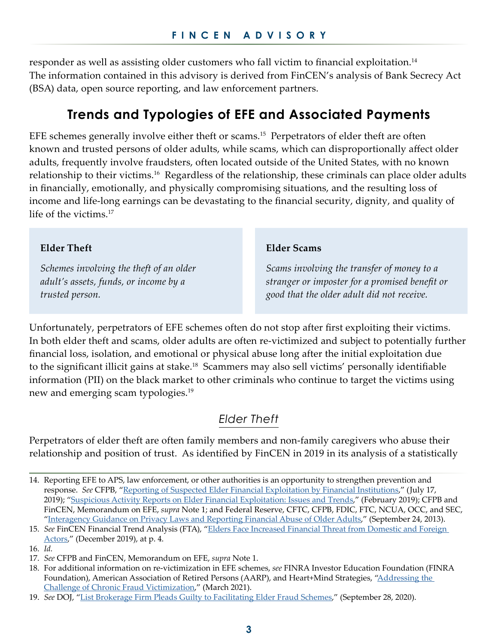responder as well as assisting older customers who fall victim to financial exploitation.14 The information contained in this advisory is derived from FinCEN's analysis of Bank Secrecy Act (BSA) data, open source reporting, and law enforcement partners.

## **Trends and Typologies of EFE and Associated Payments**

EFE schemes generally involve either theft or scams.<sup>15</sup> Perpetrators of elder theft are often known and trusted persons of older adults, while scams, which can disproportionally affect older adults, frequently involve fraudsters, often located outside of the United States, with no known relationship to their victims.16 Regardless of the relationship, these criminals can place older adults in financially, emotionally, and physically compromising situations, and the resulting loss of income and life-long earnings can be devastating to the financial security, dignity, and quality of life of the victims.<sup>17</sup>

#### **Elder Theft**

*Schemes involving the theft of an older adult's assets, funds, or income by a trusted person.* 

#### **Elder Scams**

*Scams involving the transfer of money to a stranger or imposter for a promised benefit or good that the older adult did not receive.*

Unfortunately, perpetrators of EFE schemes often do not stop after first exploiting their victims. In both elder theft and scams, older adults are often re-victimized and subject to potentially further financial loss, isolation, and emotional or physical abuse long after the initial exploitation due to the significant illicit gains at stake.18 Scammers may also sell victims' personally identifiable information (PII) on the black market to other criminals who continue to target the victims using new and emerging scam typologies.19

## *Elder Theft*

Perpetrators of elder theft are often family members and non-family caregivers who abuse their relationship and position of trust. As identified by FinCEN in 2019 in its analysis of a statistically

<sup>14.</sup> Reporting EFE to APS, law enforcement, or other authorities is an opportunity to strengthen prevention and response. *See* CFPB, ["Reporting of Suspected Elder Financial Exploitation by Financial Institutions](https://files.consumerfinance.gov/f/documents/cfpb_suspected-elder-financial-exploitation-financial-institutions_report.pdf)," (July 17, 2019); ["Suspicious Activity Reports on Elder Financial Exploitation: Issues and Trends](https://files.consumerfinance.gov/f/documents/cfpb_suspicious-activity-reports-elder-financial-exploitation_report.pdf)," (February 2019); CFPB and FinCEN, Memorandum on EFE, *supra* Note 1; and Federal Reserve, CFTC, CFPB, FDIC, FTC, NCUA, OCC, and SEC, "[Interagency Guidance on Privacy Laws and Reporting Financial Abuse of Older Adults,](https://files.consumerfinance.gov/f/documents/cfpb_elder-abuse-guidance_2013-09.pdf)" (September 24, 2013).

<sup>15.</sup> *See* FinCEN Financial Trend Analysis (FTA), "[Elders Face Increased Financial Threat from Domestic and Foreign](https://www.fincen.gov/sites/default/files/shared/FinCEN%20Financial%20Trend%20Analysis%20Elders_FINAL%20508.pdf)  [Actors](https://www.fincen.gov/sites/default/files/shared/FinCEN%20Financial%20Trend%20Analysis%20Elders_FINAL%20508.pdf)," (December 2019), at p. 4.

<sup>16.</sup> *Id.*

<sup>17.</sup> *See* CFPB and FinCEN, [Memorandum on EFE](https://www.fincen.gov/sites/default/files/2017-08/8-25-2017_FINAL_CFPB%2BTreasury%2BFinCEN%20Joint%20Memo.pdf), *supra* Note 1.

<sup>18.</sup> For additional information on re-victimization in EFE schemes, *see* FINRA Investor Education Foundation (FINRA Foundation), American Association of Retired Persons (AARP), and Heart+Mind Strategies, ["Addressing the](https://www.finrafoundation.org/sites/finrafoundation/files/addressing-the-challenge-of-chronic-fraud-victimization.pdf)  [Challenge of Chronic Fraud Victimization](https://www.finrafoundation.org/sites/finrafoundation/files/addressing-the-challenge-of-chronic-fraud-victimization.pdf)," (March 2021).

<sup>19.</sup> *See* DOJ, "[List Brokerage Firm Pleads Guilty to Facilitating Elder Fraud Schemes](https://www.justice.gov/opa/pr/list-brokerage-firm-pleads-guilty-facilitating-elder-fraud-schemes)," (September 28, 2020).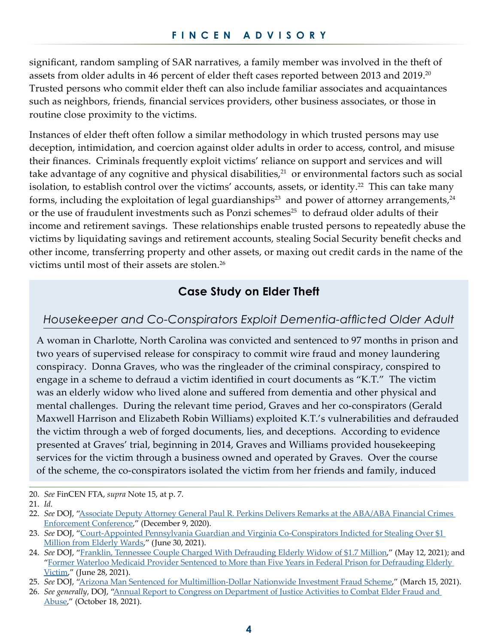significant, random sampling of SAR narratives, a family member was involved in the theft of assets from older adults in 46 percent of elder theft cases reported between 2013 and 2019.<sup>20</sup> Trusted persons who commit elder theft can also include familiar associates and acquaintances such as neighbors, friends, financial services providers, other business associates, or those in routine close proximity to the victims.

Instances of elder theft often follow a similar methodology in which trusted persons may use deception, intimidation, and coercion against older adults in order to access, control, and misuse their finances. Criminals frequently exploit victims' reliance on support and services and will take advantage of any cognitive and physical disabilities, $21$  or environmental factors such as social isolation, to establish control over the victims' accounts, assets, or identity.<sup>22</sup> This can take many forms, including the exploitation of legal guardianships<sup>23</sup> and power of attorney arrangements,<sup>24</sup> or the use of fraudulent investments such as Ponzi schemes<sup>25</sup> to defraud older adults of their income and retirement savings. These relationships enable trusted persons to repeatedly abuse the victims by liquidating savings and retirement accounts, stealing Social Security benefit checks and other income, transferring property and other assets, or maxing out credit cards in the name of the victims until most of their assets are stolen.<sup>26</sup>

## **Case Study on Elder Theft**

## *Housekeeper and Co-Conspirators Exploit Dementia-afflicted Older Adult*

A woman in Charlotte, North Carolina was convicted and sentenced to 97 months in prison and two years of supervised release for conspiracy to commit wire fraud and money laundering conspiracy. Donna Graves, who was the ringleader of the criminal conspiracy, conspired to engage in a scheme to defraud a victim identified in court documents as "K.T." The victim was an elderly widow who lived alone and suffered from dementia and other physical and mental challenges. During the relevant time period, Graves and her co-conspirators (Gerald Maxwell Harrison and Elizabeth Robin Williams) exploited K.T.'s vulnerabilities and defrauded the victim through a web of forged documents, lies, and deceptions. According to evidence presented at Graves' trial, beginning in 2014, Graves and Williams provided housekeeping services for the victim through a business owned and operated by Graves. Over the course of the scheme, the co-conspirators isolated the victim from her friends and family, induced

<sup>20.</sup> *See* FinCEN FTA, *supra* Note 15, at p. 7.

<sup>21.</sup> *Id.*

<sup>22.</sup> *See* DOJ, ["Associate Deputy Attorney General Paul R. Perkins Delivers Remarks at the ABA/ABA Financial Crimes](https://www.justice.gov/opa/speech/associate-deputy-attorney-general-paul-r-perkins-delivers-remarks-abaaba-financial-crimes)  [Enforcement Conference](https://www.justice.gov/opa/speech/associate-deputy-attorney-general-paul-r-perkins-delivers-remarks-abaaba-financial-crimes)," (December 9, 2020).

<sup>23.</sup> *See* DOJ, "[Court-Appointed Pennsylvania Guardian and Virginia Co-Conspirators Indicted for Stealing Over \\$1](https://www.justice.gov/usao-edpa/pr/court-appointed-pennsylvania-guardian-and-virginia-co-conspirators-indicted-stealing)  [Million from Elderly Wards](https://www.justice.gov/usao-edpa/pr/court-appointed-pennsylvania-guardian-and-virginia-co-conspirators-indicted-stealing)," (June 30, 2021).

<sup>24.</sup> *See* DOJ, "[Franklin, Tennessee Couple Charged With Defrauding Elderly Widow of \\$1.7 Million,](https://www.justice.gov/usao-mdtn/pr/franklin-tennessee-couple-charged-defrauding-elderly-widow-17-million)" (May 12, 2021); and "Former Waterloo Medicaid Provider Sentenced to More than Five Years in Federal Prison for Defrauding Elderly [Victim](https://www.justice.gov/usao-ndia/pr/former-waterloo-medicaid-provider-sentenced-more-five-years-federal-prison-defrauding)," (June 28, 2021).

<sup>25.</sup> *See* DOJ, ["Arizona Man Sentenced for Multimillion-Dollar Nationwide Investment Fraud Scheme](https://www.justice.gov/usao-edva/pr/arizona-man-sentenced-multimillion-dollar-nationwide-investment-fraud-scheme)," (March 15, 2021).

<sup>26.</sup> *See generally*, DOJ, ["Annual Report to Congress on Department of Justice Activities to Combat Elder Fraud and](https://www.justice.gov/file/1443096/download?utm_medium=email&utm_source=govdelivery)  [Abuse](https://www.justice.gov/file/1443096/download?utm_medium=email&utm_source=govdelivery)," (October 18, 2021).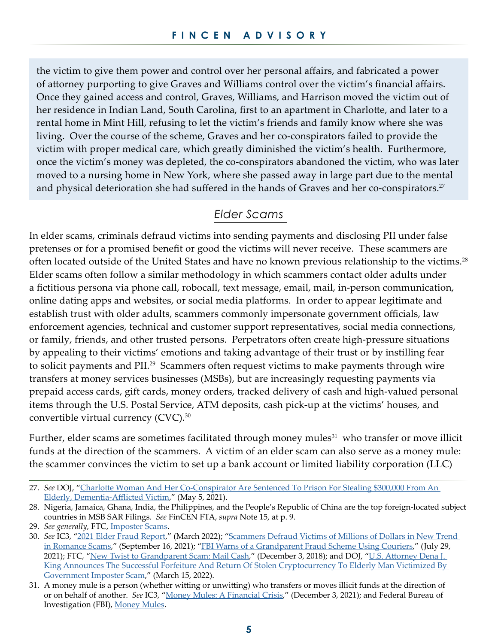the victim to give them power and control over her personal affairs, and fabricated a power of attorney purporting to give Graves and Williams control over the victim's financial affairs. Once they gained access and control, Graves, Williams, and Harrison moved the victim out of her residence in Indian Land, South Carolina, first to an apartment in Charlotte, and later to a rental home in Mint Hill, refusing to let the victim's friends and family know where she was living. Over the course of the scheme, Graves and her co-conspirators failed to provide the victim with proper medical care, which greatly diminished the victim's health. Furthermore, once the victim's money was depleted, the co-conspirators abandoned the victim, who was later moved to a nursing home in New York, where she passed away in large part due to the mental and physical deterioration she had suffered in the hands of Graves and her co-conspirators.<sup>27</sup>

## *Elder Scams*

In elder scams, criminals defraud victims into sending payments and disclosing PII under false pretenses or for a promised benefit or good the victims will never receive. These scammers are often located outside of the United States and have no known previous relationship to the victims.28 Elder scams often follow a similar methodology in which scammers contact older adults under a fictitious persona via phone call, robocall, text message, email, mail, in-person communication, online dating apps and websites, or social media platforms. In order to appear legitimate and establish trust with older adults, scammers commonly impersonate government officials, law enforcement agencies, technical and customer support representatives, social media connections, or family, friends, and other trusted persons. Perpetrators often create high-pressure situations by appealing to their victims' emotions and taking advantage of their trust or by instilling fear to solicit payments and PII.<sup>29</sup> Scammers often request victims to make payments through wire transfers at money services businesses (MSBs), but are increasingly requesting payments via prepaid access cards, gift cards, money orders, tracked delivery of cash and high-valued personal items through the U.S. Postal Service, ATM deposits, cash pick-up at the victims' houses, and convertible virtual currency (CVC).<sup>30</sup>

Further, elder scams are sometimes facilitated through money mules<sup>31</sup> who transfer or move illicit funds at the direction of the scammers. A victim of an elder scam can also serve as a money mule: the scammer convinces the victim to set up a bank account or limited liability corporation (LLC)

<sup>27.</sup> *See* DOJ, "[Charlotte Woman And Her Co-Conspirator Are Sentenced To Prison For Stealing \\$300,000 From An](https://www.justice.gov/usao-wdnc/pr/charlotte-woman-and-her-co-conspirator-are-sentenced-prison-stealing-300000-elderly)  [Elderly, Dementia-Afflicted Victim](https://www.justice.gov/usao-wdnc/pr/charlotte-woman-and-her-co-conspirator-are-sentenced-prison-stealing-300000-elderly)," (May 5, 2021).

<sup>28.</sup> Nigeria, Jamaica, Ghana, India, the Philippines, and the People's Republic of China are the top foreign-located subject countries in MSB SAR Filings. *See* FinCEN FTA, *supra* Note 15, at p. 9.

<sup>29.</sup> *See generally,* FTC, [Imposter Scams](https://consumer.ftc.gov/features/imposter-scams).

<sup>30.</sup> *See* IC3, ["2021 Elder Fraud Report](https://www.ic3.gov/Media/PDF/AnnualReport/2021_IC3ElderFraudReport.pdf)," (March 2022); ["Scammers Defraud Victims of Millions of Dollars in New Trend](https://www.ic3.gov/Media/Y2021/PSA210916)  [in Romance Scams](https://www.ic3.gov/Media/Y2021/PSA210916)," (September 16, 2021); "[FBI Warns of a Grandparent Fraud Scheme Using Couriers,](https://www.ic3.gov/Media/Y2021/PSA210729)" (July 29, 2021); FTC, ["New Twist to Grandparent Scam: Mail Cash](https://www.ftc.gov/news-events/data-visualizations/data-spotlight/2018/12/new-twist-grandparent-scam-mail-cash)," (December 3, 2018); and DOJ, "U.S. Attorney Dena J. [King Announces The Successful Forfeiture And Return Of Stolen Cryptocurrency To Elderly Man Victimized By](https://www.justice.gov/usao-wdnc/pr/us-attorney-dena-j-king-announces-successful-forfeiture-and-return-stolen)  [Government Imposter Scam](https://www.justice.gov/usao-wdnc/pr/us-attorney-dena-j-king-announces-successful-forfeiture-and-return-stolen)," (March 15, 2022).

<sup>31.</sup> A money mule is a person (whether witting or unwitting) who transfers or moves illicit funds at the direction of or on behalf of another. *See* IC3, "[Money Mules: A Financial Crisis,](https://www.ic3.gov/Media/Y2021/PSA211203)" (December 3, 2021); and Federal Bureau of Investigation (FBI), [Money Mules](https://www.fbi.gov/scams-and-safety/common-scams-and-crimes/money-mules).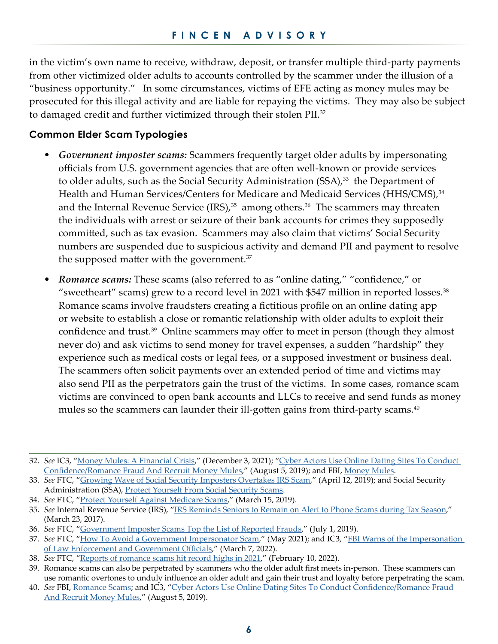in the victim's own name to receive, withdraw, deposit, or transfer multiple third-party payments from other victimized older adults to accounts controlled by the scammer under the illusion of a "business opportunity." In some circumstances, victims of EFE acting as money mules may be prosecuted for this illegal activity and are liable for repaying the victims. They may also be subject to damaged credit and further victimized through their stolen PII.<sup>32</sup>

#### **Common Elder Scam Typologies**

- *Government imposter scams:* Scammers frequently target older adults by impersonating officials from U.S. government agencies that are often well-known or provide services to older adults, such as the Social Security Administration (SSA),<sup>33</sup> the Department of Health and Human Services/Centers for Medicare and Medicaid Services (HHS/CMS),<sup>34</sup> and the Internal Revenue Service  $(IRS)$ ,<sup>35</sup> among others.<sup>36</sup> The scammers may threaten the individuals with arrest or seizure of their bank accounts for crimes they supposedly committed, such as tax evasion. Scammers may also claim that victims' Social Security numbers are suspended due to suspicious activity and demand PII and payment to resolve the supposed matter with the government.<sup>37</sup>
- *Romance scams:* These scams (also referred to as "online dating," "confidence," or "sweetheart" scams) grew to a record level in 2021 with \$547 million in reported losses.<sup>38</sup> Romance scams involve fraudsters creating a fictitious profile on an online dating app or website to establish a close or romantic relationship with older adults to exploit their confidence and trust.<sup>39</sup> Online scammers may offer to meet in person (though they almost never do) and ask victims to send money for travel expenses, a sudden "hardship" they experience such as medical costs or legal fees, or a supposed investment or business deal. The scammers often solicit payments over an extended period of time and victims may also send PII as the perpetrators gain the trust of the victims. In some cases, romance scam victims are convinced to open bank accounts and LLCs to receive and send funds as money mules so the scammers can launder their ill-gotten gains from third-party scams. $40$

<sup>32.</sup> *See* IC3, ["Money Mules: A Financial Crisis](https://www.ic3.gov/Media/Y2021/PSA211203)," (December 3, 2021); ["Cyber Actors Use Online Dating Sites To Conduct](https://www.ic3.gov/Media/Y2019/PSA190805)  [Confidence/Romance Fraud And Recruit Money Mules,](https://www.ic3.gov/Media/Y2019/PSA190805)" (August 5, 2019); and FBI, [Money Mules](https://www.fbi.gov/scams-and-safety/common-scams-and-crimes/money-mules).

<sup>33.</sup> *See* FTC, "[Growing Wave of Social Security Imposters Overtakes IRS Scam,](https://www.ftc.gov/news-events/data-visualizations/data-spotlight/2019/04/growing-wave-social-security-imposters-overtakes-irs-scam)" (April 12, 2019); and Social Security Administration (SSA), [Protect Yourself From Social Security Scams.](https://www.ssa.gov/scam/)

<sup>34.</sup> *See* FTC, "[Protect Yourself Against Medicare Scams,](https://consumer.ftc.gov/consumer-alerts/2019/03/protect-yourself-against-medicare-scams)" (March 15, 2019).

<sup>35.</sup> *See* Internal Revenue Service (IRS), ["IRS Reminds Seniors to Remain on Alert to Phone Scams during Tax Season,](https://www.irs.gov/newsroom/irs-reminds-seniors-to-remain-on-alert-to-phone-scams-during-tax-season)" (March 23, 2017).

<sup>36.</sup> *See* FTC, "[Government Imposter Scams Top the List of Reported Frauds,](https://www.ftc.gov/news-events/data-visualizations/data-spotlight/2019/07/government-imposter-scams-top-list-reported-frauds)" (July 1, 2019).

<sup>37.</sup> *See* FTC, "[How To Avoid a Government Impersonator Scam,](https://consumer.ftc.gov/articles/how-avoid-government-impersonator-scam)" (May 2021); and IC3, "[FBI Warns of the Impersonation](https://www.ic3.gov/Media/Y2022/PSA220307)  [of Law Enforcement and Government Officials,](https://www.ic3.gov/Media/Y2022/PSA220307)" (March 7, 2022).

<sup>38.</sup> *See* FTC, "[Reports of romance scams hit record highs in 2021,](https://www.ftc.gov/news-events/data-visualizations/data-spotlight/2022/02/reports-romance-scams-hit-record-highs-2021)" (February 10, 2022).

<sup>39.</sup> Romance scams can also be perpetrated by scammers who the older adult first meets in-person. These scammers can use romantic overtones to unduly influence an older adult and gain their trust and loyalty before perpetrating the scam.

<sup>40.</sup> *See* FBI, [Romance Scams](https://www.fbi.gov/scams-and-safety/common-scams-and-crimes/romance-scams); and IC3, ["Cyber Actors Use Online Dating Sites To Conduct Confidence/Romance Fraud](https://www.ic3.gov/Media/Y2019/PSA190805)  [And Recruit Money Mules,](https://www.ic3.gov/Media/Y2019/PSA190805)" (August 5, 2019).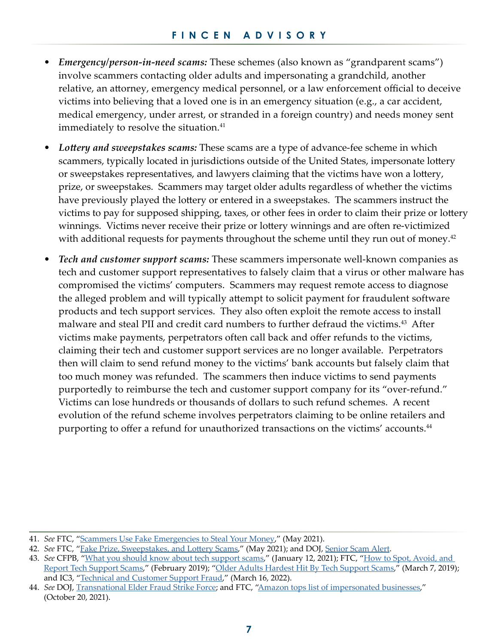- *Emergency/person-in-need scams:* These schemes (also known as "grandparent scams") involve scammers contacting older adults and impersonating a grandchild, another relative, an attorney, emergency medical personnel, or a law enforcement official to deceive victims into believing that a loved one is in an emergency situation (e.g., a car accident, medical emergency, under arrest, or stranded in a foreign country) and needs money sent immediately to resolve the situation.<sup>41</sup>
- *Lottery and sweepstakes scams:* These scams are a type of advance-fee scheme in which scammers, typically located in jurisdictions outside of the United States, impersonate lottery or sweepstakes representatives, and lawyers claiming that the victims have won a lottery, prize, or sweepstakes. Scammers may target older adults regardless of whether the victims have previously played the lottery or entered in a sweepstakes. The scammers instruct the victims to pay for supposed shipping, taxes, or other fees in order to claim their prize or lottery winnings. Victims never receive their prize or lottery winnings and are often re-victimized with additional requests for payments throughout the scheme until they run out of money. $42$
- *Tech and customer support scams:* These scammers impersonate well-known companies as tech and customer support representatives to falsely claim that a virus or other malware has compromised the victims' computers. Scammers may request remote access to diagnose the alleged problem and will typically attempt to solicit payment for fraudulent software products and tech support services. They also often exploit the remote access to install malware and steal PII and credit card numbers to further defraud the victims.<sup>43</sup> After victims make payments, perpetrators often call back and offer refunds to the victims, claiming their tech and customer support services are no longer available. Perpetrators then will claim to send refund money to the victims' bank accounts but falsely claim that too much money was refunded. The scammers then induce victims to send payments purportedly to reimburse the tech and customer support company for its "over-refund." Victims can lose hundreds or thousands of dollars to such refund schemes. A recent evolution of the refund scheme involves perpetrators claiming to be online retailers and purporting to offer a refund for unauthorized transactions on the victims' accounts.<sup>44</sup>

<sup>41.</sup> *See* FTC, "[Scammers Use Fake Emergencies to Steal Your Money,](https://consumer.ftc.gov/articles/scammers-use-fake-emergencies-steal-your-money)" (May 2021).

<sup>42.</sup> *See* FTC, "[Fake Prize, Sweepstakes, and Lottery Scams,](https://consumer.ftc.gov/articles/fake-prize-sweepstakes-lottery-scams)" (May 2021); and DOJ, [Senior Scam Alert](https://www.justice.gov/elderjustice/senior-scam-alert).

<sup>43.</sup> *See* CFPB, "[What you should know about tech support scams](https://www.consumerfinance.gov/about-us/blog/what-you-should-know-about-tech-support-scams/)," (January 12, 2021); FTC, ["How to Spot, Avoid, and](https://consumer.ftc.gov/articles/how-spot-avoid-report-tech-support-scams)  [Report Tech Support Scams,](https://consumer.ftc.gov/articles/how-spot-avoid-report-tech-support-scams)" (February 2019); ["Older Adults Hardest Hit By Tech Support Scams](https://www.ftc.gov/news-events/data-visualizations/data-spotlight/2019/03/older-adults-hardest-hit-tech-support-scams)," (March 7, 2019); and IC3, "[Technical and Customer Support Fraud,](https://www.ic3.gov/Media/Y2022/PSA220316)" (March 16, 2022).

<sup>44.</sup> *See* DOJ, [Transnational Elder Fraud Strike Force;](https://www.justice.gov/civil/consumer-protection-branch/transnational-elder-fraud-strike-force) and FTC, ["Amazon tops list of impersonated businesses,](https://www.ftc.gov/news-events/data-visualizations/data-spotlight/2021/10/amazon-tops-list-impersonated-businesses)" (October 20, 2021).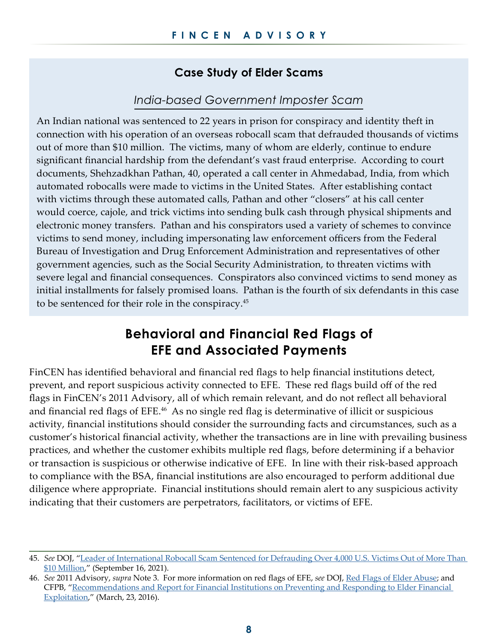## **Case Study of Elder Scams**

### *India-based Government Imposter Scam*

An Indian national was sentenced to 22 years in prison for conspiracy and identity theft in connection with his operation of an overseas robocall scam that defrauded thousands of victims out of more than \$10 million. The victims, many of whom are elderly, continue to endure significant financial hardship from the defendant's vast fraud enterprise. According to court documents, Shehzadkhan Pathan, 40, operated a call center in Ahmedabad, India, from which automated robocalls were made to victims in the United States. After establishing contact with victims through these automated calls, Pathan and other "closers" at his call center would coerce, cajole, and trick victims into sending bulk cash through physical shipments and electronic money transfers. Pathan and his conspirators used a variety of schemes to convince victims to send money, including impersonating law enforcement officers from the Federal Bureau of Investigation and Drug Enforcement Administration and representatives of other government agencies, such as the Social Security Administration, to threaten victims with severe legal and financial consequences. Conspirators also convinced victims to send money as initial installments for falsely promised loans. Pathan is the fourth of six defendants in this case to be sentenced for their role in the conspiracy.<sup>45</sup>

## **Behavioral and Financial Red Flags of EFE and Associated Payments**

FinCEN has identified behavioral and financial red flags to help financial institutions detect, prevent, and report suspicious activity connected to EFE. These red flags build off of the red flags in FinCEN's 2011 Advisory, all of which remain relevant, and do not reflect all behavioral and financial red flags of EFE.<sup>46</sup> As no single red flag is determinative of illicit or suspicious activity, financial institutions should consider the surrounding facts and circumstances, such as a customer's historical financial activity, whether the transactions are in line with prevailing business practices, and whether the customer exhibits multiple red flags, before determining if a behavior or transaction is suspicious or otherwise indicative of EFE. In line with their risk-based approach to compliance with the BSA, financial institutions are also encouraged to perform additional due diligence where appropriate. Financial institutions should remain alert to any suspicious activity indicating that their customers are perpetrators, facilitators, or victims of EFE.

<sup>45.</sup> *See* DOJ, "[Leader of International Robocall Scam Sentenced for Defrauding Over 4,000 U.S. Victims Out of More Than](https://www.justice.gov/usao-edva/pr/leader-international-robocall-scam-sentenced-defrauding-over-4000-us-victims-out-more)  [\\$10 Million,](https://www.justice.gov/usao-edva/pr/leader-international-robocall-scam-sentenced-defrauding-over-4000-us-victims-out-more)" (September 16, 2021).

<sup>46.</sup> *See* 2011 Advisory, *supra* Note 3. For more information on red flags of EFE, *see* DOJ, [Red Flags of Elder Abuse](https://www.justice.gov/elderjustice/red-flags-elder-abuse-0); and CFPB, "[Recommendations and Report for Financial Institutions on Preventing and Responding to Elder Financial](https://files.consumerfinance.gov/f/201603_cfpb_recommendations-and-report-for-financial-institutions-on-preventing-and-responding-to-elder-financial-exploitation.pdf)  [Exploitation](https://files.consumerfinance.gov/f/201603_cfpb_recommendations-and-report-for-financial-institutions-on-preventing-and-responding-to-elder-financial-exploitation.pdf)," (March, 23, 2016).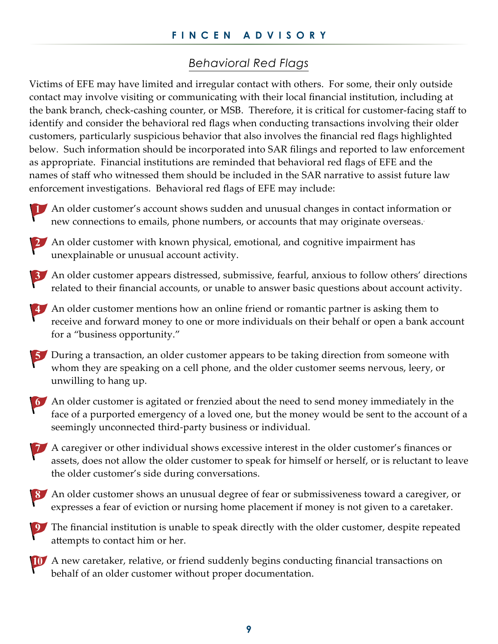## *Behavioral Red Flags*

Victims of EFE may have limited and irregular contact with others. For some, their only outside contact may involve visiting or communicating with their local financial institution, including at the bank branch, check-cashing counter, or MSB. Therefore, it is critical for customer-facing staff to identify and consider the behavioral red flags when conducting transactions involving their older customers, particularly suspicious behavior that also involves the financial red flags highlighted below. Such information should be incorporated into SAR filings and reported to law enforcement as appropriate. Financial institutions are reminded that behavioral red flags of EFE and the names of staff who witnessed them should be included in the SAR narrative to assist future law enforcement investigations. Behavioral red flags of EFE may include:





2. An older customer with known physical, emotional, and cognitive impairment has unexplainable or unusual account activity.

An older customer appears distressed, submissive, fearful, anxious to follow others' directions related to their financial accounts, or unable to answer basic questions about account activity.

An older customer mentions how an online friend or romantic partner is asking them to receive and forward money to one or more individuals on their behalf or open a bank account for a "business opportunity."



5 During a transaction, an older customer appears to be taking direction from someone with whom they are speaking on a cell phone, and the older customer seems nervous, leery, or unwilling to hang up.



An older customer is agitated or frenzied about the need to send money immediately in the face of a purported emergency of a loved one, but the money would be sent to the account of a seemingly unconnected third-party business or individual.

A caregiver or other individual shows excessive interest in the older customer's finances or assets, does not allow the older customer to speak for himself or herself, or is reluctant to leave the older customer's side during conversations.





A new caretaker, relative, or friend suddenly begins conducting financial transactions on behalf of an older customer without proper documentation.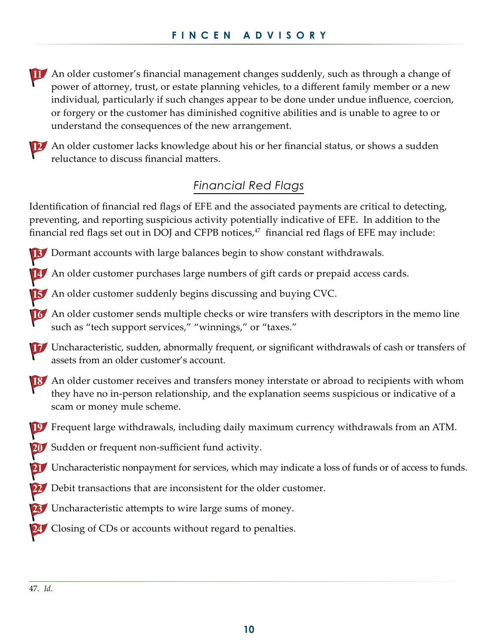An older customer's financial management changes suddenly, such as through a change of power of attorney, trust, or estate planning vehicles, to a different family member or a new individual, particularly if such changes appear to be done under undue influence, coercion, or forgery or the customer has diminished cognitive abilities and is unable to agree to or understand the consequences of the new arrangement.



12 An older customer lacks knowledge about his or her financial status, or shows a sudden reluctance to discuss financial matters.

## *Financial Red Flags*

Identification of financial red flags of EFE and the associated payments are critical to detecting, preventing, and reporting suspicious activity potentially indicative of EFE. In addition to the financial red flags set out in DOJ and CFPB notices, $47$  financial red flags of EFE may include:

13 Dormant accounts with large balances begin to show constant withdrawals.

An older customer purchases large numbers of gift cards or prepaid access cards.

**15** An older customer suddenly begins discussing and buying CVC.

An older customer sends multiple checks or wire transfers with descriptors in the memo line such as "tech support services," "winnings," or "taxes."

Uncharacteristic, sudden, abnormally frequent, or significant withdrawals of cash or transfers of assets from an older customer's account.

18 An older customer receives and transfers money interstate or abroad to recipients with whom they have no in-person relationship, and the explanation seems suspicious or indicative of a scam or money mule scheme.

Frequent large withdrawals, including daily maximum currency withdrawals from an ATM.

20 Sudden or frequent non-sufficient fund activity.

21 Uncharacteristic nonpayment for services, which may indicate a loss of funds or of access to funds.

Debit transactions that are inconsistent for the older customer.

Uncharacteristic attempts to wire large sums of money.

24 Closing of CDs or accounts without regard to penalties.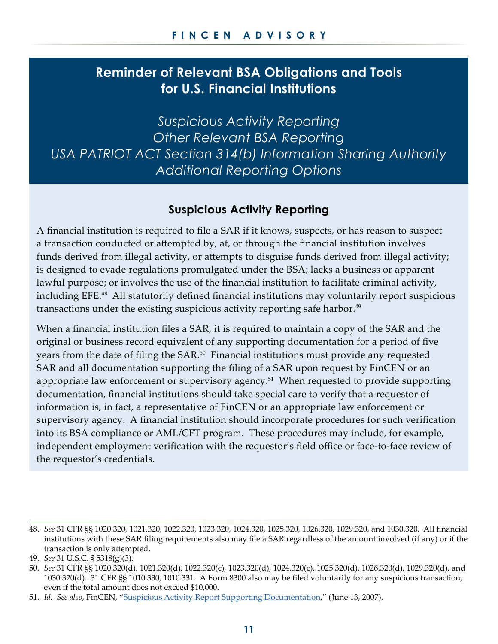## **Reminder of Relevant BSA Obligations and Tools for U.S. Financial Institutions**

*Suspicious Activity Reporting Other Relevant BSA Reporting USA PATRIOT ACT Section 314(b) Information Sharing Authority Additional Reporting Options*

## **Suspicious Activity Reporting**

A financial institution is required to file a SAR if it knows, suspects, or has reason to suspect a transaction conducted or attempted by, at, or through the financial institution involves funds derived from illegal activity, or attempts to disguise funds derived from illegal activity; is designed to evade regulations promulgated under the BSA; lacks a business or apparent lawful purpose; or involves the use of the financial institution to facilitate criminal activity, including EFE.48 All statutorily defined financial institutions may voluntarily report suspicious transactions under the existing suspicious activity reporting safe harbor.<sup>49</sup>

When a financial institution files a SAR, it is required to maintain a copy of the SAR and the original or business record equivalent of any supporting documentation for a period of five years from the date of filing the SAR.<sup>50</sup> Financial institutions must provide any requested SAR and all documentation supporting the filing of a SAR upon request by FinCEN or an appropriate law enforcement or supervisory agency.<sup>51</sup> When requested to provide supporting documentation, financial institutions should take special care to verify that a requestor of information is, in fact, a representative of FinCEN or an appropriate law enforcement or supervisory agency. A financial institution should incorporate procedures for such verification into its BSA compliance or AML/CFT program. These procedures may include, for example, independent employment verification with the requestor's field office or face-to-face review of the requestor's credentials.

<sup>48.</sup> *See* 31 CFR §§ 1020.320, 1021.320, 1022.320, 1023.320, 1024.320, 1025.320, 1026.320, 1029.320, and 1030.320. All financial institutions with these SAR filing requirements also may file a SAR regardless of the amount involved (if any) or if the transaction is only attempted.

<sup>49.</sup> *See* 31 U.S.C. § 5318(g)(3).

<sup>50.</sup> *See* 31 CFR §§ 1020.320(d), 1021.320(d), 1022.320(c), 1023.320(d), 1024.320(c), 1025.320(d), 1026.320(d), 1029.320(d), and 1030.320(d). 31 CFR §§ 1010.330, 1010.331. A Form 8300 also may be filed voluntarily for any suspicious transaction, even if the total amount does not exceed \$10,000.

<sup>51.</sup> *Id. See also*, FinCEN, ["Suspicious Activity Report Supporting Documentation](https://www.fincen.gov/resources/statutes-regulations/guidance/suspicious-activity-report-supporting-documentation)," (June 13, 2007).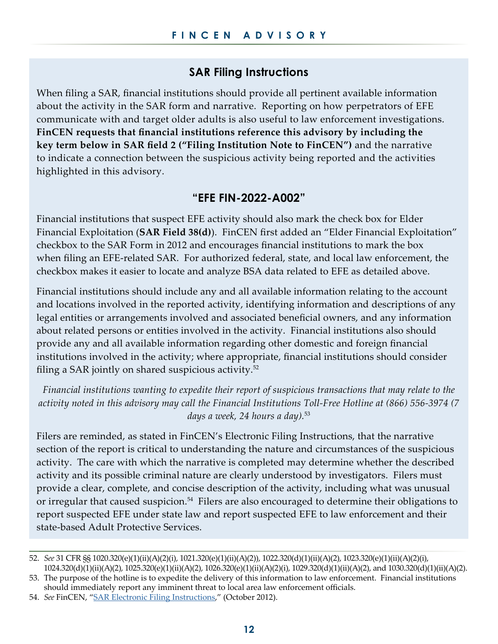## **SAR Filing Instructions**

When filing a SAR, financial institutions should provide all pertinent available information about the activity in the SAR form and narrative. Reporting on how perpetrators of EFE communicate with and target older adults is also useful to law enforcement investigations. **FinCEN requests that financial institutions reference this advisory by including the key term below in SAR field 2 ("Filing Institution Note to FinCEN")** and the narrative to indicate a connection between the suspicious activity being reported and the activities highlighted in this advisory.

#### **"EFE FIN-2022-A002"**

Financial institutions that suspect EFE activity should also mark the check box for Elder Financial Exploitation (**SAR Field 38(d)**). FinCEN first added an "Elder Financial Exploitation" checkbox to the SAR Form in 2012 and encourages financial institutions to mark the box when filing an EFE-related SAR. For authorized federal, state, and local law enforcement, the checkbox makes it easier to locate and analyze BSA data related to EFE as detailed above.

Financial institutions should include any and all available information relating to the account and locations involved in the reported activity, identifying information and descriptions of any legal entities or arrangements involved and associated beneficial owners, and any information about related persons or entities involved in the activity. Financial institutions also should provide any and all available information regarding other domestic and foreign financial institutions involved in the activity; where appropriate, financial institutions should consider filing a SAR jointly on shared suspicious activity. $52$ 

*Financial institutions wanting to expedite their report of suspicious transactions that may relate to the activity noted in this advisory may call the Financial Institutions Toll-Free Hotline at (866) 556-3974 (7 days a week, 24 hours a day).*<sup>53</sup>

Filers are reminded, as stated in FinCEN's Electronic Filing Instructions, that the narrative section of the report is critical to understanding the nature and circumstances of the suspicious activity. The care with which the narrative is completed may determine whether the described activity and its possible criminal nature are clearly understood by investigators. Filers must provide a clear, complete, and concise description of the activity, including what was unusual or irregular that caused suspicion.<sup>54</sup> Filers are also encouraged to determine their obligations to report suspected EFE under state law and report suspected EFE to law enforcement and their state-based Adult Protective Services.

<sup>52.</sup> *See* 31 CFR §§ 1020.320(e)(1)(ii)(A)(2)(i), 1021.320(e)(1)(ii)(A)(2)), 1022.320(d)(1)(ii)(A)(2), 1023.320(e)(1)(ii)(A)(2)(i), 1024.320(d)(1)(ii)(A)(2), 1025.320(e)(1)(ii)(A)(2), 1026.320(e)(1)(ii)(A)(2)(i), 1029.320(d)(1)(ii)(A)(2), and 1030.320(d)(1)(ii)(A)(2).

<sup>53.</sup> The purpose of the hotline is to expedite the delivery of this information to law enforcement. Financial institutions should immediately report any imminent threat to local area law enforcement officials.

<sup>54.</sup> *See* FinCEN, "[SAR Electronic Filing Instructions,](https://www.fincen.gov/sites/default/files/shared/FinCEN%20SAR%20ElectronicFilingInstructions-%20Stand%20Alone%20doc.pdf)" (October 2012).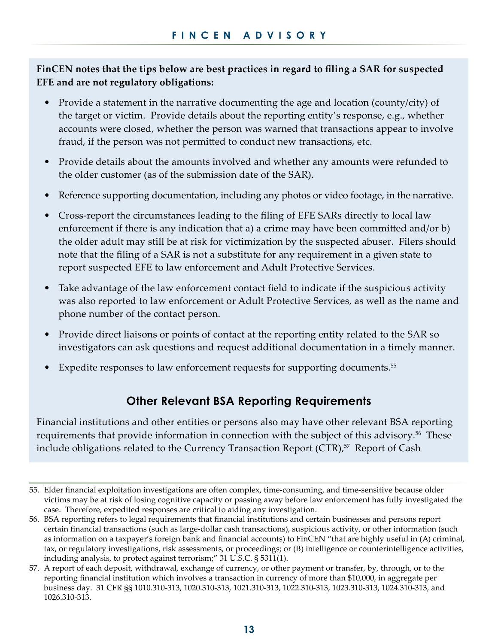**FinCEN notes that the tips below are best practices in regard to filing a SAR for suspected EFE and are not regulatory obligations:** 

- Provide a statement in the narrative documenting the age and location (county/city) of the target or victim. Provide details about the reporting entity's response, e.g., whether accounts were closed, whether the person was warned that transactions appear to involve fraud, if the person was not permitted to conduct new transactions, etc.
- Provide details about the amounts involved and whether any amounts were refunded to the older customer (as of the submission date of the SAR).
- Reference supporting documentation, including any photos or video footage, in the narrative.
- Cross-report the circumstances leading to the filing of EFE SARs directly to local law enforcement if there is any indication that a) a crime may have been committed and/or b) the older adult may still be at risk for victimization by the suspected abuser. Filers should note that the filing of a SAR is not a substitute for any requirement in a given state to report suspected EFE to law enforcement and Adult Protective Services.
- Take advantage of the law enforcement contact field to indicate if the suspicious activity was also reported to law enforcement or Adult Protective Services, as well as the name and phone number of the contact person.
- Provide direct liaisons or points of contact at the reporting entity related to the SAR so investigators can ask questions and request additional documentation in a timely manner.
- Expedite responses to law enforcement requests for supporting documents.<sup>55</sup>

## **Other Relevant BSA Reporting Requirements**

Financial institutions and other entities or persons also may have other relevant BSA reporting requirements that provide information in connection with the subject of this advisory.<sup>56</sup> These include obligations related to the Currency Transaction Report  $(CTR)$ ,  $57$  Report of Cash

<sup>55.</sup> Elder financial exploitation investigations are often complex, time-consuming, and time-sensitive because older victims may be at risk of losing cognitive capacity or passing away before law enforcement has fully investigated the case. Therefore, expedited responses are critical to aiding any investigation.

<sup>56.</sup> BSA reporting refers to legal requirements that financial institutions and certain businesses and persons report certain financial transactions (such as large-dollar cash transactions), suspicious activity, or other information (such as information on a taxpayer's foreign bank and financial accounts) to FinCEN "that are highly useful in (A) criminal, tax, or regulatory investigations, risk assessments, or proceedings; or (B) intelligence or counterintelligence activities, including analysis, to protect against terrorism;" 31 U.S.C. § 5311(1).

<sup>57.</sup> A report of each deposit, withdrawal, exchange of currency, or other payment or transfer, by, through, or to the reporting financial institution which involves a transaction in currency of more than \$10,000, in aggregate per business day. 31 CFR §§ 1010.310-313, 1020.310-313, 1021.310-313, 1022.310-313, 1023.310-313, 1024.310-313, and 1026.310-313.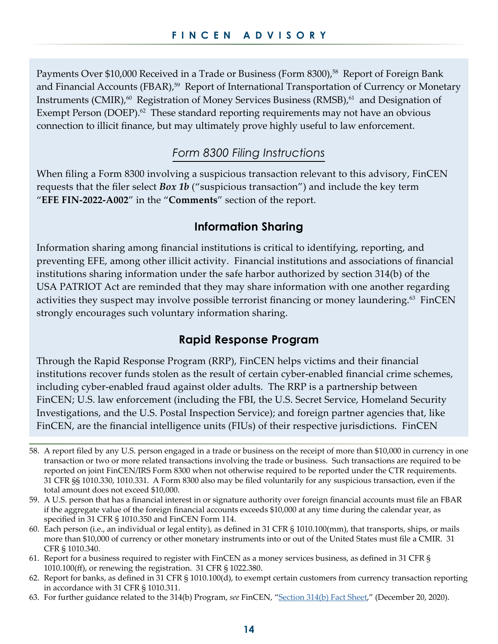Payments Over \$10,000 Received in a Trade or Business (Form 8300),<sup>58</sup> Report of Foreign Bank and Financial Accounts (FBAR),<sup>59</sup> Report of International Transportation of Currency or Monetary Instruments (CMIR),<sup>60</sup> Registration of Money Services Business (RMSB),<sup>61</sup> and Designation of Exempt Person (DOEP). $^{62}$  These standard reporting requirements may not have an obvious connection to illicit finance, but may ultimately prove highly useful to law enforcement.

## *Form 8300 Filing Instructions*

When filing a Form 8300 involving a suspicious transaction relevant to this advisory, FinCEN requests that the filer select *Box 1b* ("suspicious transaction") and include the key term "**EFE FIN-2022-A002**" in the "**Comments**" section of the report.

#### **Information Sharing**

Information sharing among financial institutions is critical to identifying, reporting, and preventing EFE, among other illicit activity. Financial institutions and associations of financial institutions sharing information under the safe harbor authorized by section 314(b) of the USA PATRIOT Act are reminded that they may share information with one another regarding activities they suspect may involve possible terrorist financing or money laundering.<sup>63</sup> FinCEN strongly encourages such voluntary information sharing.

#### **Rapid Response Program**

Through the Rapid Response Program (RRP), FinCEN helps victims and their financial institutions recover funds stolen as the result of certain cyber-enabled financial crime schemes, including cyber-enabled fraud against older adults. The RRP is a partnership between FinCEN; U.S. law enforcement (including the FBI, the U.S. Secret Service, Homeland Security Investigations, and the U.S. Postal Inspection Service); and foreign partner agencies that, like FinCEN, are the financial intelligence units (FIUs) of their respective jurisdictions. FinCEN

- 58. A report filed by any U.S. person engaged in a trade or business on the receipt of more than \$10,000 in currency in one transaction or two or more related transactions involving the trade or business. Such transactions are required to be reported on joint FinCEN/IRS Form 8300 when not otherwise required to be reported under the CTR requirements. 31 CFR §§ 1010.330, 1010.331. A Form 8300 also may be filed voluntarily for any suspicious transaction, even if the total amount does not exceed \$10,000.
- 59. A U.S. person that has a financial interest in or signature authority over foreign financial accounts must file an FBAR if the aggregate value of the foreign financial accounts exceeds \$10,000 at any time during the calendar year, as specified in 31 CFR § 1010.350 and FinCEN Form 114.
- 60. Each person (i.e., an individual or legal entity), as defined in 31 CFR § 1010.100(mm), that transports, ships, or mails more than \$10,000 of currency or other monetary instruments into or out of the United States must file a CMIR. 31 CFR § 1010.340.
- 61. Report for a business required to register with FinCEN as a money services business, as defined in 31 CFR § 1010.100(ff), or renewing the registration. 31 CFR § 1022.380.
- 62. Report for banks, as defined in 31 CFR § 1010.100(d), to exempt certain customers from currency transaction reporting in accordance with 31 CFR § 1010.311.
- 63. For further guidance related to the 314(b) Program, *see* FinCEN, "[Section 314\(b\) Fact Sheet](https://www.fincen.gov/section-314b)," (December 20, 2020).